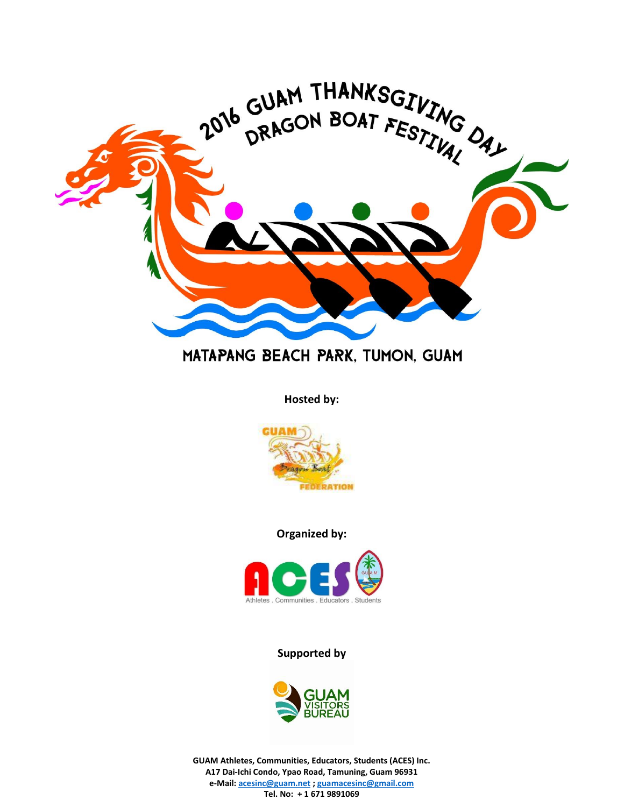

## MATAPANG BEACH PARK, TUMON, GUAM

**Hosted by:**



**Organized by:**



**Supported by**



**GUAM Athletes, Communities, Educators, Students (ACES) Inc. A17 Dai-Ichi Condo, Ypao Road, Tamuning, Guam 96931 e-Mail: [acesinc@guam.net](mailto:acesinc@guam.net) [; guamacesinc@gmail.com](mailto:guamacesinc@gmail.com) Tel. No: + 1 671 9891069**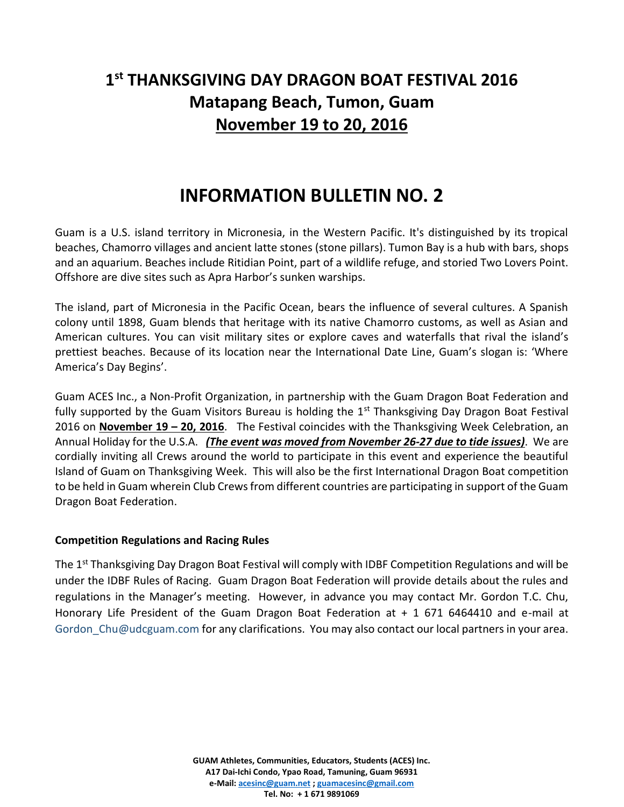## **1 st THANKSGIVING DAY DRAGON BOAT FESTIVAL 2016 Matapang Beach, Tumon, Guam November 19 to 20, 2016**

# **INFORMATION BULLETIN NO. 2**

Guam is a U.S. island territory in Micronesia, in the Western Pacific. It's distinguished by its tropical beaches, Chamorro villages and ancient latte stones (stone pillars). Tumon Bay is a hub with bars, shops and an aquarium. Beaches include Ritidian Point, part of a wildlife refuge, and storied Two Lovers Point. Offshore are dive sites such as Apra Harbor's sunken warships.

The island, part of Micronesia in the Pacific Ocean, bears the influence of several cultures. A Spanish colony until 1898, Guam blends that heritage with its native Chamorro customs, as well as Asian and American cultures. You can visit military sites or explore caves and waterfalls that rival the island's prettiest beaches. Because of its location near the International Date Line, Guam's slogan is: 'Where America's Day Begins'.

Guam ACES Inc., a Non-Profit Organization, in partnership with the Guam Dragon Boat Federation and fully supported by the Guam Visitors Bureau is holding the  $1<sup>st</sup>$  Thanksgiving Day Dragon Boat Festival 2016 on **November 19 – 20, 2016**. The Festival coincides with the Thanksgiving Week Celebration, an Annual Holiday for the U.S.A. *(The event was moved from November 26-27 due to tide issues)*. We are cordially inviting all Crews around the world to participate in this event and experience the beautiful Island of Guam on Thanksgiving Week. This will also be the first International Dragon Boat competition to be held in Guam wherein Club Crews from different countries are participating in support of the Guam Dragon Boat Federation.

#### **Competition Regulations and Racing Rules**

The 1<sup>st</sup> Thanksgiving Day Dragon Boat Festival will comply with IDBF Competition Regulations and will be under the IDBF Rules of Racing. Guam Dragon Boat Federation will provide details about the rules and regulations in the Manager's meeting. However, in advance you may contact Mr. Gordon T.C. Chu, Honorary Life President of the Guam Dragon Boat Federation at + 1 671 6464410 and e-mail at Gordon C[hu@udcguam.com](mailto:u@udcguam.com) for any clarifications. You may also contact our local partners in your area.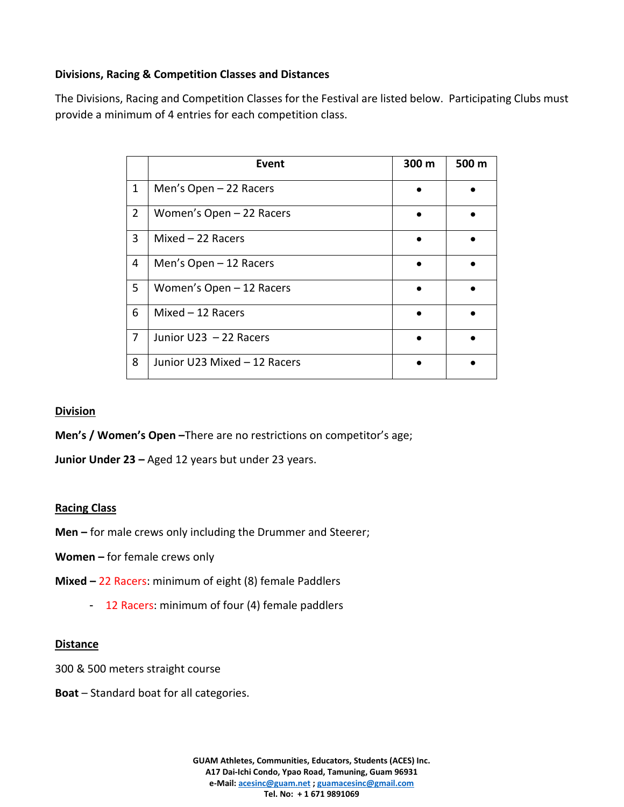## **Divisions, Racing & Competition Classes and Distances**

The Divisions, Racing and Competition Classes for the Festival are listed below. Participating Clubs must provide a minimum of 4 entries for each competition class.

|                | Event                        | 300 m | 500 m |
|----------------|------------------------------|-------|-------|
| 1              | Men's Open $-22$ Racers      |       |       |
| $\overline{2}$ | Women's Open - 22 Racers     |       |       |
| 3              | Mixed $-22$ Racers           |       |       |
| 4              | Men's Open $-12$ Racers      |       |       |
| 5              | Women's Open - 12 Racers     |       |       |
| 6              | $Mixed - 12$ Racers          |       |       |
| 7              | Junior U23 - 22 Racers       |       |       |
| 8              | Junior U23 Mixed - 12 Racers |       |       |

#### **Division**

**Men's / Women's Open –**There are no restrictions on competitor's age;

**Junior Under 23 –** Aged 12 years but under 23 years.

#### **Racing Class**

- **Men –** for male crews only including the Drummer and Steerer;
- **Women –** for female crews only
- **Mixed –** 22 Racers: minimum of eight (8) female Paddlers
	- 12 Racers: minimum of four (4) female paddlers

#### **Distance**

- 300 & 500 meters straight course
- **Boat** Standard boat for all categories.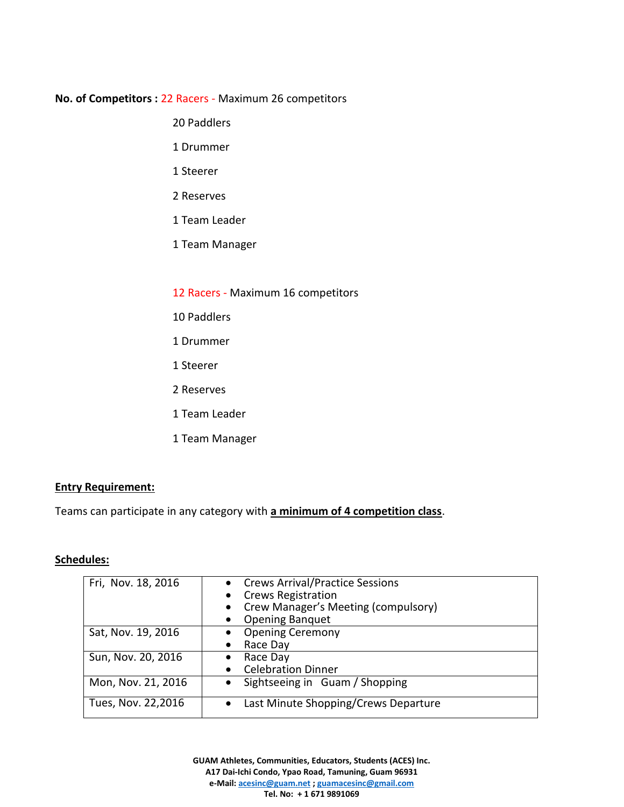#### **No. of Competitors :** 22 Racers - Maximum 26 competitors

- 20 Paddlers
- 1 Drummer
- 1 Steerer
- 2 Reserves
- 1 Team Leader
- 1 Team Manager
- 12 Racers Maximum 16 competitors
- 10 Paddlers
- 1 Drummer
- 1 Steerer
- 2 Reserves
- 1 Team Leader
- 1 Team Manager

#### **Entry Requirement:**

Teams can participate in any category with **a minimum of 4 competition class**.

#### **Schedules:**

| Fri, Nov. 18, 2016 | <b>Crews Arrival/Practice Sessions</b><br><b>Crews Registration</b><br>Crew Manager's Meeting (compulsory)<br><b>Opening Banquet</b> |
|--------------------|--------------------------------------------------------------------------------------------------------------------------------------|
| Sat, Nov. 19, 2016 | <b>Opening Ceremony</b><br>Race Day                                                                                                  |
| Sun, Nov. 20, 2016 | Race Day<br>$\bullet$<br><b>Celebration Dinner</b>                                                                                   |
| Mon, Nov. 21, 2016 | Sightseeing in Guam / Shopping                                                                                                       |
| Tues, Nov. 22,2016 | Last Minute Shopping/Crews Departure                                                                                                 |